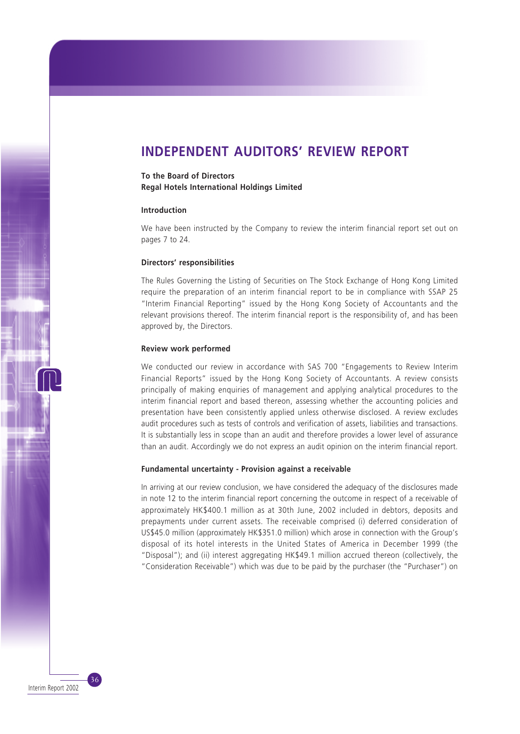# **INDEPENDENT AUDITORS' REVIEW REPORT**

# **To the Board of Directors Regal Hotels International Holdings Limited**

### **Introduction**

We have been instructed by the Company to review the interim financial report set out on pages 7 to 24.

#### **Directors' responsibilities**

The Rules Governing the Listing of Securities on The Stock Exchange of Hong Kong Limited require the preparation of an interim financial report to be in compliance with SSAP 25 "Interim Financial Reporting" issued by the Hong Kong Society of Accountants and the relevant provisions thereof. The interim financial report is the responsibility of, and has been approved by, the Directors.

#### **Review work performed**

We conducted our review in accordance with SAS 700 "Engagements to Review Interim Financial Reports" issued by the Hong Kong Society of Accountants. A review consists principally of making enquiries of management and applying analytical procedures to the interim financial report and based thereon, assessing whether the accounting policies and presentation have been consistently applied unless otherwise disclosed. A review excludes audit procedures such as tests of controls and verification of assets, liabilities and transactions. It is substantially less in scope than an audit and therefore provides a lower level of assurance than an audit. Accordingly we do not express an audit opinion on the interim financial report.

#### **Fundamental uncertainty - Provision against a receivable**

In arriving at our review conclusion, we have considered the adequacy of the disclosures made in note 12 to the interim financial report concerning the outcome in respect of a receivable of approximately HK\$400.1 million as at 30th June, 2002 included in debtors, deposits and prepayments under current assets. The receivable comprised (i) deferred consideration of US\$45.0 million (approximately HK\$351.0 million) which arose in connection with the Group's disposal of its hotel interests in the United States of America in December 1999 (the "Disposal"); and (ii) interest aggregating HK\$49.1 million accrued thereon (collectively, the "Consideration Receivable") which was due to be paid by the purchaser (the "Purchaser") on

36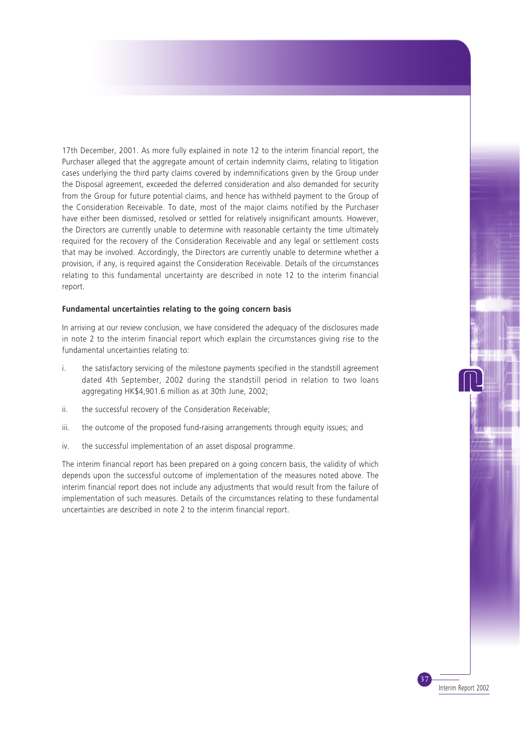17th December, 2001. As more fully explained in note 12 to the interim financial report, the Purchaser alleged that the aggregate amount of certain indemnity claims, relating to litigation cases underlying the third party claims covered by indemnifications given by the Group under the Disposal agreement, exceeded the deferred consideration and also demanded for security from the Group for future potential claims, and hence has withheld payment to the Group of the Consideration Receivable. To date, most of the major claims notified by the Purchaser have either been dismissed, resolved or settled for relatively insignificant amounts. However, the Directors are currently unable to determine with reasonable certainty the time ultimately required for the recovery of the Consideration Receivable and any legal or settlement costs that may be involved. Accordingly, the Directors are currently unable to determine whether a provision, if any, is required against the Consideration Receivable. Details of the circumstances relating to this fundamental uncertainty are described in note 12 to the interim financial report.

#### **Fundamental uncertainties relating to the going concern basis**

In arriving at our review conclusion, we have considered the adequacy of the disclosures made in note 2 to the interim financial report which explain the circumstances giving rise to the fundamental uncertainties relating to:

- i. the satisfactory servicing of the milestone payments specified in the standstill agreement dated 4th September, 2002 during the standstill period in relation to two loans aggregating HK\$4,901.6 million as at 30th June, 2002;
- ii. the successful recovery of the Consideration Receivable;
- iii. the outcome of the proposed fund-raising arrangements through equity issues; and
- iv. the successful implementation of an asset disposal programme.

The interim financial report has been prepared on a going concern basis, the validity of which depends upon the successful outcome of implementation of the measures noted above. The interim financial report does not include any adjustments that would result from the failure of implementation of such measures. Details of the circumstances relating to these fundamental uncertainties are described in note 2 to the interim financial report.